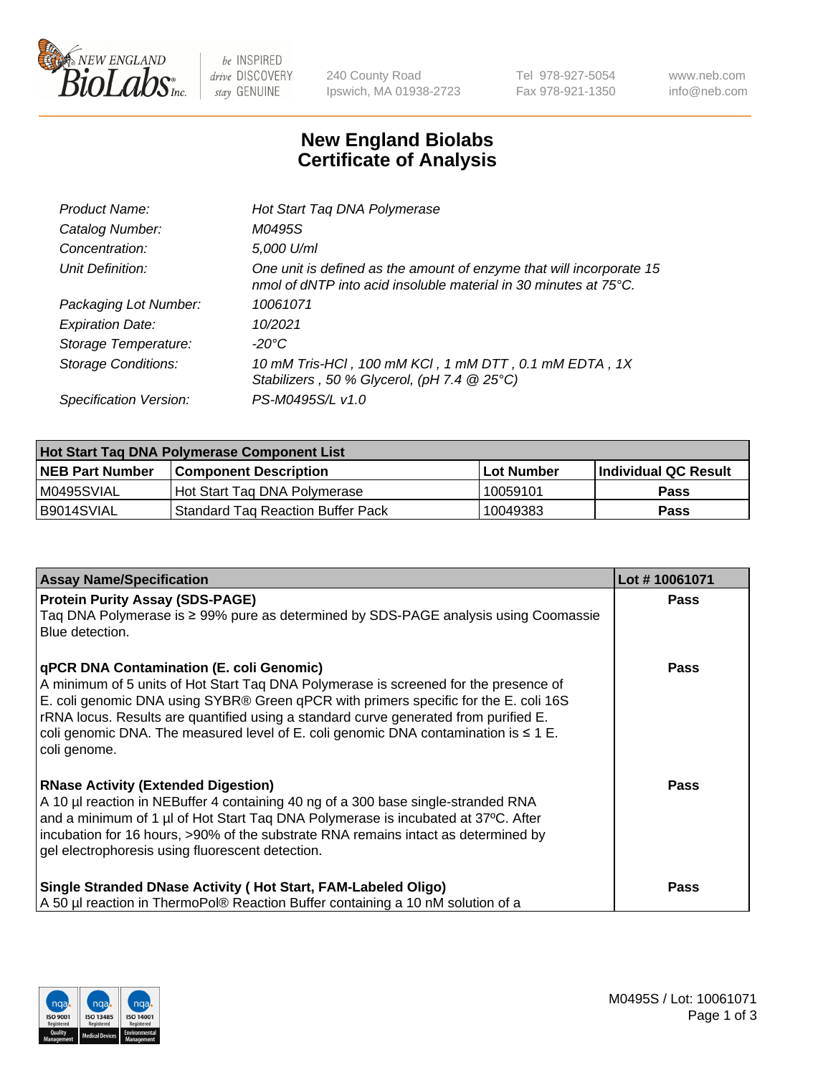

 $be$  INSPIRED drive DISCOVERY stay GENUINE

240 County Road Ipswich, MA 01938-2723 Tel 978-927-5054 Fax 978-921-1350 www.neb.com info@neb.com

## **New England Biolabs Certificate of Analysis**

| Product Name:           | Hot Start Taq DNA Polymerase                                                                                                                       |
|-------------------------|----------------------------------------------------------------------------------------------------------------------------------------------------|
| Catalog Number:         | M0495S                                                                                                                                             |
| Concentration:          | 5,000 U/ml                                                                                                                                         |
| Unit Definition:        | One unit is defined as the amount of enzyme that will incorporate 15<br>nmol of dNTP into acid insoluble material in 30 minutes at $75^{\circ}$ C. |
| Packaging Lot Number:   | 10061071                                                                                                                                           |
| <b>Expiration Date:</b> | 10/2021                                                                                                                                            |
| Storage Temperature:    | $-20^{\circ}$ C                                                                                                                                    |
| Storage Conditions:     | 10 mM Tris-HCl, 100 mM KCl, 1 mM DTT, 0.1 mM EDTA, 1X<br>Stabilizers, 50 % Glycerol, (pH 7.4 @ 25°C)                                               |
| Specification Version:  | PS-M0495S/L v1.0                                                                                                                                   |

| <b>Hot Start Tag DNA Polymerase Component List</b> |                                          |                   |                      |  |  |
|----------------------------------------------------|------------------------------------------|-------------------|----------------------|--|--|
| <b>NEB Part Number</b>                             | <b>Component Description</b>             | <b>Lot Number</b> | Individual QC Result |  |  |
| M0495SVIAL                                         | Hot Start Tag DNA Polymerase             | 10059101          | <b>Pass</b>          |  |  |
| B9014SVIAL                                         | <b>Standard Tag Reaction Buffer Pack</b> | 10049383          | Pass                 |  |  |

| <b>Assay Name/Specification</b>                                                                                                                                                                                                                                                                                                                                                                                              | Lot #10061071 |
|------------------------------------------------------------------------------------------------------------------------------------------------------------------------------------------------------------------------------------------------------------------------------------------------------------------------------------------------------------------------------------------------------------------------------|---------------|
| <b>Protein Purity Assay (SDS-PAGE)</b><br>Taq DNA Polymerase is ≥ 99% pure as determined by SDS-PAGE analysis using Coomassie<br>Blue detection.                                                                                                                                                                                                                                                                             | <b>Pass</b>   |
| qPCR DNA Contamination (E. coli Genomic)<br>A minimum of 5 units of Hot Start Taq DNA Polymerase is screened for the presence of<br>E. coli genomic DNA using SYBR® Green qPCR with primers specific for the E. coli 16S<br>rRNA locus. Results are quantified using a standard curve generated from purified E.<br>coli genomic DNA. The measured level of E. coli genomic DNA contamination is $\leq 1$ E.<br>coli genome. | Pass          |
| <b>RNase Activity (Extended Digestion)</b><br>A 10 µl reaction in NEBuffer 4 containing 40 ng of a 300 base single-stranded RNA<br>and a minimum of 1 µl of Hot Start Taq DNA Polymerase is incubated at 37°C. After<br>incubation for 16 hours, >90% of the substrate RNA remains intact as determined by<br>gel electrophoresis using fluorescent detection.                                                               | Pass          |
| Single Stranded DNase Activity (Hot Start, FAM-Labeled Oligo)<br>A 50 µl reaction in ThermoPol® Reaction Buffer containing a 10 nM solution of a                                                                                                                                                                                                                                                                             | Pass          |

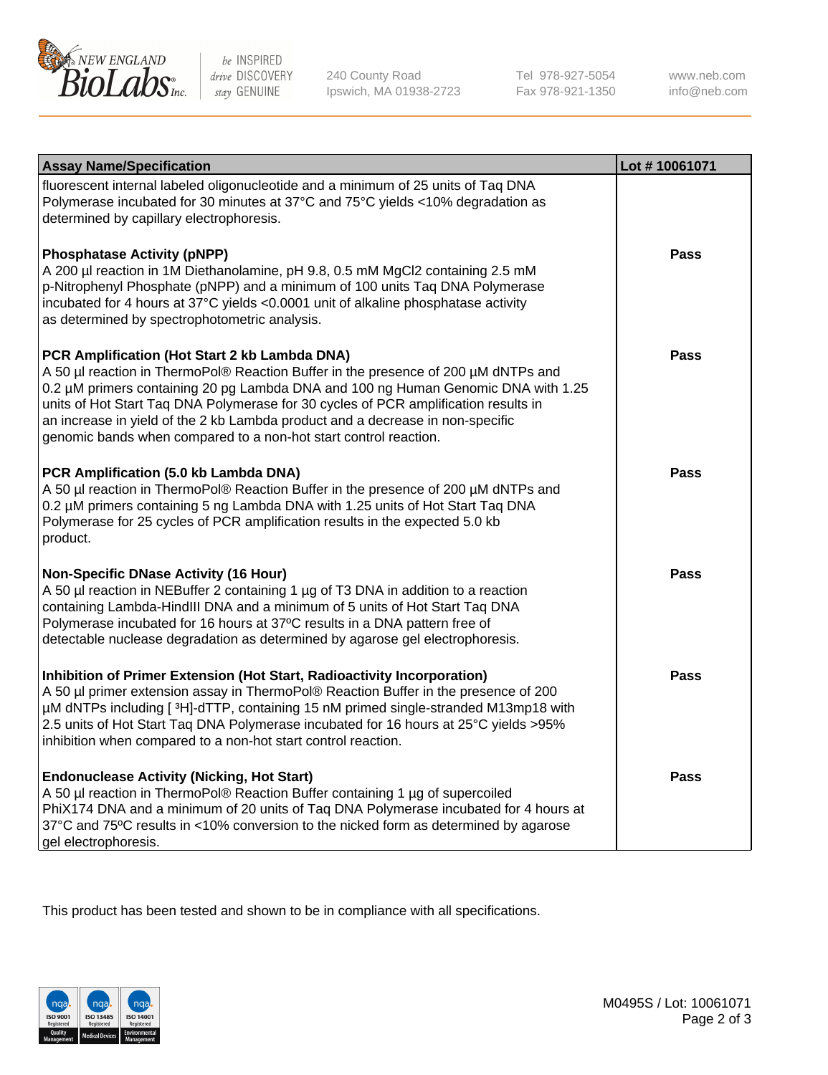

 $be$  INSPIRED drive DISCOVERY stay GENUINE

240 County Road Ipswich, MA 01938-2723 Tel 978-927-5054 Fax 978-921-1350 www.neb.com info@neb.com

| <b>Assay Name/Specification</b>                                                                                                                                                                                                                                                                                                                                                                                                                                       | Lot #10061071 |
|-----------------------------------------------------------------------------------------------------------------------------------------------------------------------------------------------------------------------------------------------------------------------------------------------------------------------------------------------------------------------------------------------------------------------------------------------------------------------|---------------|
| fluorescent internal labeled oligonucleotide and a minimum of 25 units of Taq DNA<br>Polymerase incubated for 30 minutes at 37°C and 75°C yields <10% degradation as<br>determined by capillary electrophoresis.                                                                                                                                                                                                                                                      |               |
| <b>Phosphatase Activity (pNPP)</b><br>A 200 µl reaction in 1M Diethanolamine, pH 9.8, 0.5 mM MgCl2 containing 2.5 mM<br>p-Nitrophenyl Phosphate (pNPP) and a minimum of 100 units Taq DNA Polymerase<br>incubated for 4 hours at 37°C yields <0.0001 unit of alkaline phosphatase activity<br>as determined by spectrophotometric analysis.                                                                                                                           | <b>Pass</b>   |
| PCR Amplification (Hot Start 2 kb Lambda DNA)<br>A 50 µl reaction in ThermoPol® Reaction Buffer in the presence of 200 µM dNTPs and<br>0.2 µM primers containing 20 pg Lambda DNA and 100 ng Human Genomic DNA with 1.25<br>units of Hot Start Taq DNA Polymerase for 30 cycles of PCR amplification results in<br>an increase in yield of the 2 kb Lambda product and a decrease in non-specific<br>genomic bands when compared to a non-hot start control reaction. | Pass          |
| PCR Amplification (5.0 kb Lambda DNA)<br>A 50 µl reaction in ThermoPol® Reaction Buffer in the presence of 200 µM dNTPs and<br>0.2 µM primers containing 5 ng Lambda DNA with 1.25 units of Hot Start Taq DNA<br>Polymerase for 25 cycles of PCR amplification results in the expected 5.0 kb<br>product.                                                                                                                                                             | Pass          |
| <b>Non-Specific DNase Activity (16 Hour)</b><br>A 50 µl reaction in NEBuffer 2 containing 1 µg of T3 DNA in addition to a reaction<br>containing Lambda-HindIII DNA and a minimum of 5 units of Hot Start Taq DNA<br>Polymerase incubated for 16 hours at 37°C results in a DNA pattern free of<br>detectable nuclease degradation as determined by agarose gel electrophoresis.                                                                                      | <b>Pass</b>   |
| Inhibition of Primer Extension (Hot Start, Radioactivity Incorporation)<br>A 50 µl primer extension assay in ThermoPol® Reaction Buffer in the presence of 200<br>µM dNTPs including [3H]-dTTP, containing 15 nM primed single-stranded M13mp18 with<br>2.5 units of Hot Start Taq DNA Polymerase incubated for 16 hours at 25°C yields > 95%<br>inhibition when compared to a non-hot start control reaction.                                                        | Pass          |
| <b>Endonuclease Activity (Nicking, Hot Start)</b><br>A 50 µl reaction in ThermoPol® Reaction Buffer containing 1 µg of supercoiled<br>PhiX174 DNA and a minimum of 20 units of Taq DNA Polymerase incubated for 4 hours at<br>37°C and 75°C results in <10% conversion to the nicked form as determined by agarose<br>gel electrophoresis.                                                                                                                            | Pass          |

This product has been tested and shown to be in compliance with all specifications.